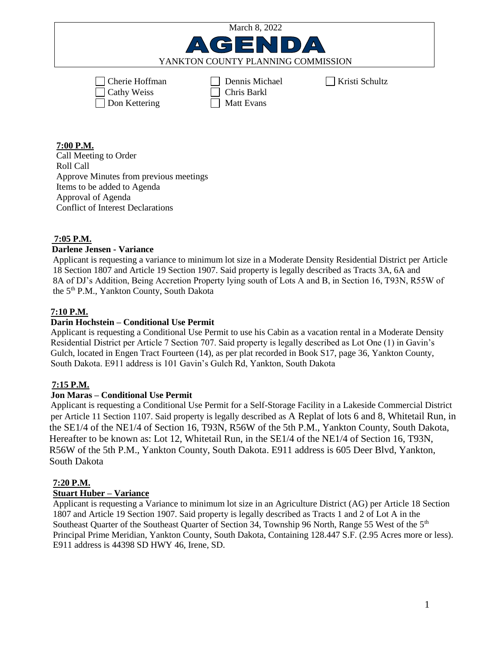| March 8, 2022                                         |                                                    |                |
|-------------------------------------------------------|----------------------------------------------------|----------------|
| AGENDA                                                |                                                    |                |
| YANKTON COUNTY PLANNING COMMISSION                    |                                                    |                |
| $\Box$ Cherie Hoffman<br>Cathy Weiss<br>Don Kettering | Dennis Michael<br>Chris Barkl<br><b>Matt Evans</b> | Kristi Schultz |

### **7:00 P.M.**

Call Meeting to Order Roll Call Approve Minutes from previous meetings Items to be added to Agenda Approval of Agenda Conflict of Interest Declarations

### **7:05 P.M.**

# **Darlene Jensen - Variance**

Applicant is requesting a variance to minimum lot size in a Moderate Density Residential District per Article 18 Section 1807 and Article 19 Section 1907. Said property is legally described as Tracts 3A, 6A and 8A of DJ's Addition, Being Accretion Property lying south of Lots A and B, in Section 16, T93N, R55W of the 5<sup>th</sup> P.M., Yankton County, South Dakota

# **7:10 P.M.**

### **Darin Hochstein – Conditional Use Permit**

 Applicant is requesting a Conditional Use Permit to use his Cabin as a vacation rental in a Moderate Density Residential District per Article 7 Section 707. Said property is legally described as Lot One (1) in Gavin's Gulch, located in Engen Tract Fourteen (14), as per plat recorded in Book S17, page 36, Yankton County, South Dakota. E911 address is 101 Gavin's Gulch Rd, Yankton, South Dakota

# **7:15 P.M.**

#### **Jon Maras – Conditional Use Permit**

 Applicant is requesting a Conditional Use Permit for a Self-Storage Facility in a Lakeside Commercial District per Article 11 Section 1107. Said property is legally described as A Replat of lots 6 and 8, Whitetail Run, in the SE1/4 of the NE1/4 of Section 16, T93N, R56W of the 5th P.M., Yankton County, South Dakota, Hereafter to be known as: Lot 12, Whitetail Run, in the SE1/4 of the NE1/4 of Section 16, T93N, R56W of the 5th P.M., Yankton County, South Dakota. E911 address is 605 Deer Blvd, Yankton, South Dakota

#### **7:20 P.M.**

# **Stuart Huber – Variance**

Applicant is requesting a Variance to minimum lot size in an Agriculture District (AG) per Article 18 Section 1807 and Article 19 Section 1907. Said property is legally described as Tracts 1 and 2 of Lot A in the Southeast Quarter of the Southeast Quarter of Section 34, Township 96 North, Range 55 West of the 5<sup>th</sup> Principal Prime Meridian, Yankton County, South Dakota, Containing 128.447 S.F. (2.95 Acres more or less). E911 address is 44398 SD HWY 46, Irene, SD.